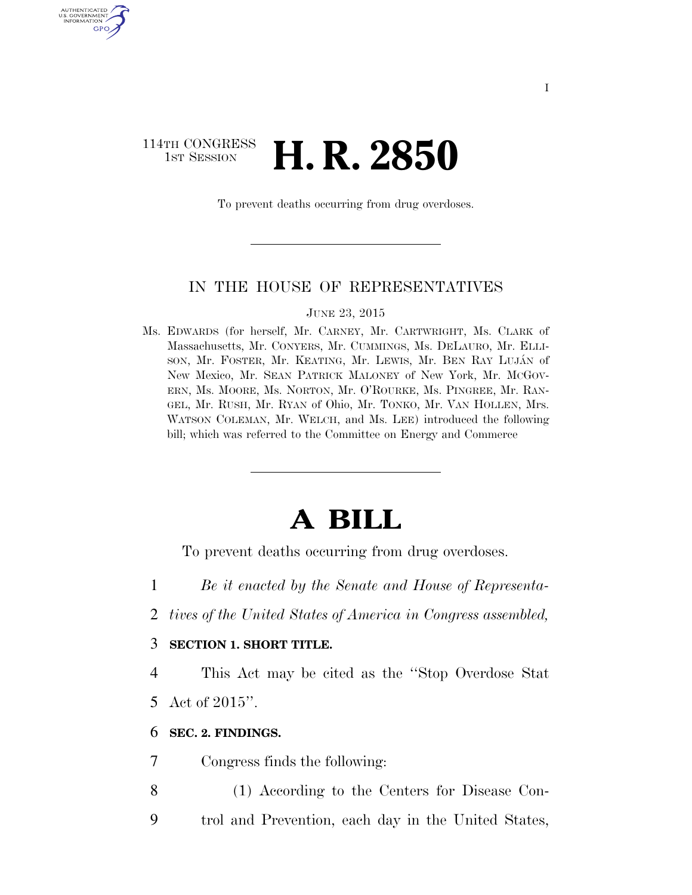### 114TH CONGRESS **1st Session H. R. 2850**

U.S. GOVERNMENT GPO

To prevent deaths occurring from drug overdoses.

#### IN THE HOUSE OF REPRESENTATIVES

JUNE 23, 2015

Ms. EDWARDS (for herself, Mr. CARNEY, Mr. CARTWRIGHT, Ms. CLARK of Massachusetts, Mr. CONYERS, Mr. CUMMINGS, Ms. DELAURO, Mr. ELLI-SON, Mr. FOSTER, Mr. KEATING, Mr. LEWIS, Mr. BEN RAY LUJÁN of New Mexico, Mr. SEAN PATRICK MALONEY of New York, Mr. MCGOV-ERN, Ms. MOORE, Ms. NORTON, Mr. O'ROURKE, Ms. PINGREE, Mr. RAN-GEL, Mr. RUSH, Mr. RYAN of Ohio, Mr. TONKO, Mr. VAN HOLLEN, Mrs. WATSON COLEMAN, Mr. WELCH, and Ms. LEE) introduced the following bill; which was referred to the Committee on Energy and Commerce

# **A BILL**

To prevent deaths occurring from drug overdoses.

- 1 *Be it enacted by the Senate and House of Representa-*
- 2 *tives of the United States of America in Congress assembled,*

#### 3 **SECTION 1. SHORT TITLE.**

4 This Act may be cited as the ''Stop Overdose Stat 5 Act of 2015''.

#### 6 **SEC. 2. FINDINGS.**

7 Congress finds the following:

- 8 (1) According to the Centers for Disease Con-
- 9 trol and Prevention, each day in the United States,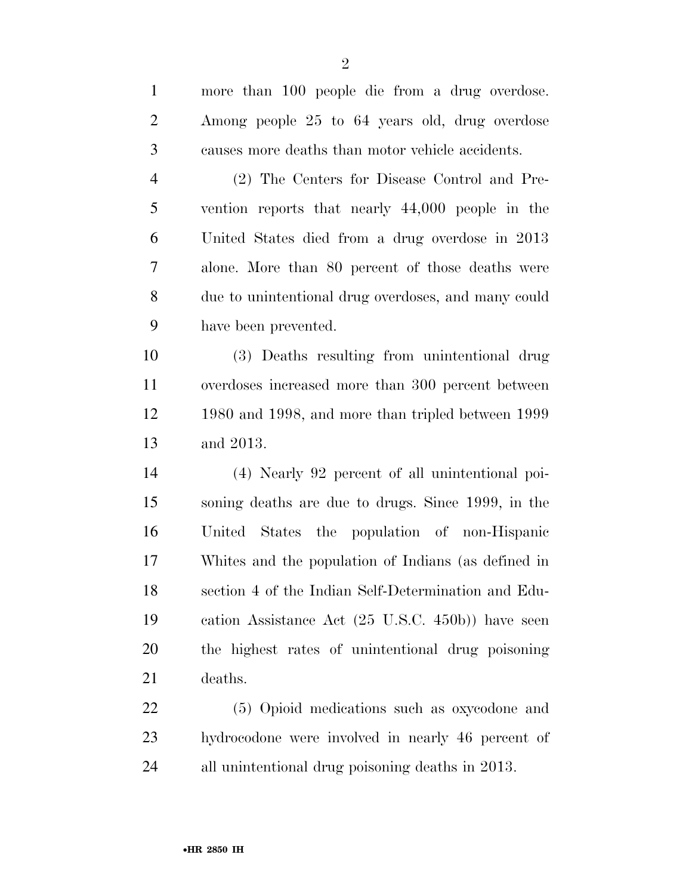| $\mathbf{1}$   | more than 100 people die from a drug overdose.      |
|----------------|-----------------------------------------------------|
| $\overline{2}$ | Among people 25 to 64 years old, drug overdose      |
| 3              | causes more deaths than motor vehicle accidents.    |
| $\overline{4}$ | (2) The Centers for Disease Control and Pre-        |
| 5              | vention reports that nearly 44,000 people in the    |
| 6              | United States died from a drug overdose in 2013     |
| 7              | alone. More than 80 percent of those deaths were    |
| 8              | due to unintentional drug overdoses, and many could |
| 9              | have been prevented.                                |
| 10             | (3) Deaths resulting from unintentional drug        |
| 11             | overdoses increased more than 300 percent between   |
| 12             | 1980 and 1998, and more than tripled between 1999   |
| 13             | and 2013.                                           |
| 14             | (4) Nearly 92 percent of all unintentional poi-     |
| 15             | soning deaths are due to drugs. Since 1999, in the  |
| 16             | United States the population of non-Hispanic        |
| 17             | Whites and the population of Indians (as defined in |
| 18             | section 4 of the Indian Self-Determination and Edu- |
| 19             | cation Assistance Act (25 U.S.C. 450b)) have seen   |
| 20             | the highest rates of unintentional drug poisoning   |
| 21             | deaths.                                             |
| 22             | (5) Opioid medications such as oxycodone and        |
| 23             | hydrocodone were involved in nearly 46 percent of   |

all unintentional drug poisoning deaths in 2013.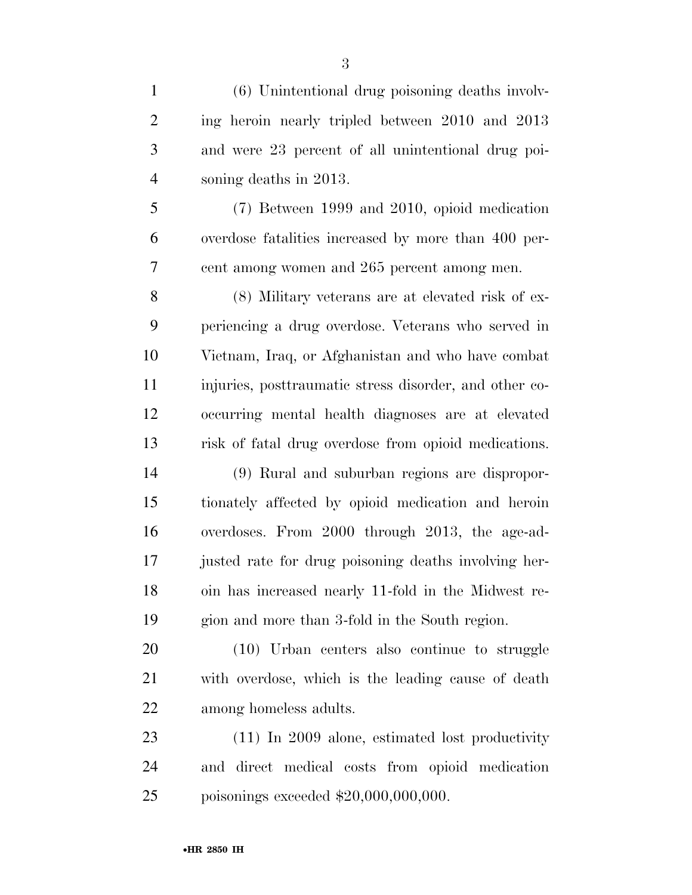(6) Unintentional drug poisoning deaths involv- ing heroin nearly tripled between 2010 and 2013 and were 23 percent of all unintentional drug poi- soning deaths in 2013. (7) Between 1999 and 2010, opioid medication overdose fatalities increased by more than 400 per- cent among women and 265 percent among men. (8) Military veterans are at elevated risk of ex- periencing a drug overdose. Veterans who served in Vietnam, Iraq, or Afghanistan and who have combat injuries, posttraumatic stress disorder, and other co- occurring mental health diagnoses are at elevated risk of fatal drug overdose from opioid medications. (9) Rural and suburban regions are dispropor- tionately affected by opioid medication and heroin overdoses. From 2000 through 2013, the age-ad- justed rate for drug poisoning deaths involving her- oin has increased nearly 11-fold in the Midwest re- gion and more than 3-fold in the South region. (10) Urban centers also continue to struggle with overdose, which is the leading cause of death among homeless adults. (11) In 2009 alone, estimated lost productivity

 and direct medical costs from opioid medication poisonings exceeded \$20,000,000,000.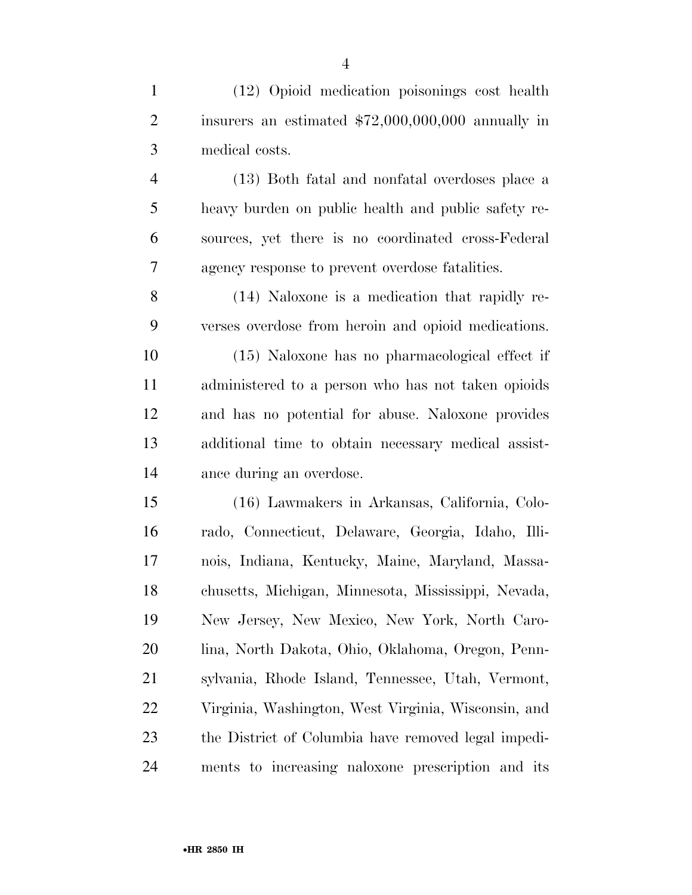(12) Opioid medication poisonings cost health insurers an estimated \$72,000,000,000 annually in medical costs.

 (13) Both fatal and nonfatal overdoses place a heavy burden on public health and public safety re- sources, yet there is no coordinated cross-Federal agency response to prevent overdose fatalities.

 (14) Naloxone is a medication that rapidly re-verses overdose from heroin and opioid medications.

 (15) Naloxone has no pharmacological effect if administered to a person who has not taken opioids and has no potential for abuse. Naloxone provides additional time to obtain necessary medical assist-ance during an overdose.

 (16) Lawmakers in Arkansas, California, Colo- rado, Connecticut, Delaware, Georgia, Idaho, Illi- nois, Indiana, Kentucky, Maine, Maryland, Massa- chusetts, Michigan, Minnesota, Mississippi, Nevada, New Jersey, New Mexico, New York, North Caro- lina, North Dakota, Ohio, Oklahoma, Oregon, Penn- sylvania, Rhode Island, Tennessee, Utah, Vermont, Virginia, Washington, West Virginia, Wisconsin, and the District of Columbia have removed legal impedi-ments to increasing naloxone prescription and its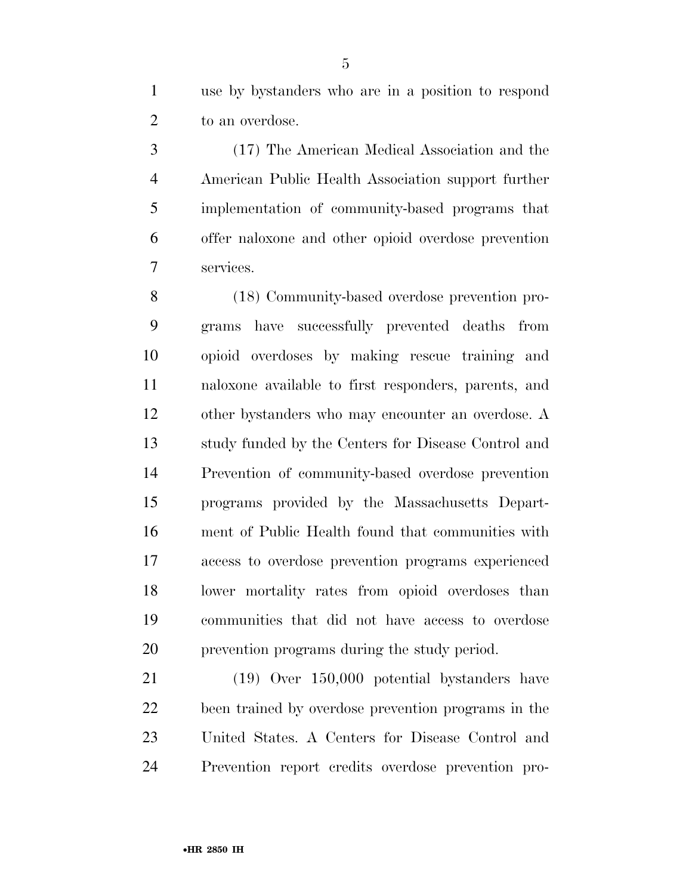use by bystanders who are in a position to respond to an overdose.

 (17) The American Medical Association and the American Public Health Association support further implementation of community-based programs that offer naloxone and other opioid overdose prevention services.

 (18) Community-based overdose prevention pro- grams have successfully prevented deaths from opioid overdoses by making rescue training and naloxone available to first responders, parents, and other bystanders who may encounter an overdose. A study funded by the Centers for Disease Control and Prevention of community-based overdose prevention programs provided by the Massachusetts Depart- ment of Public Health found that communities with access to overdose prevention programs experienced lower mortality rates from opioid overdoses than communities that did not have access to overdose prevention programs during the study period.

 (19) Over 150,000 potential bystanders have been trained by overdose prevention programs in the United States. A Centers for Disease Control and Prevention report credits overdose prevention pro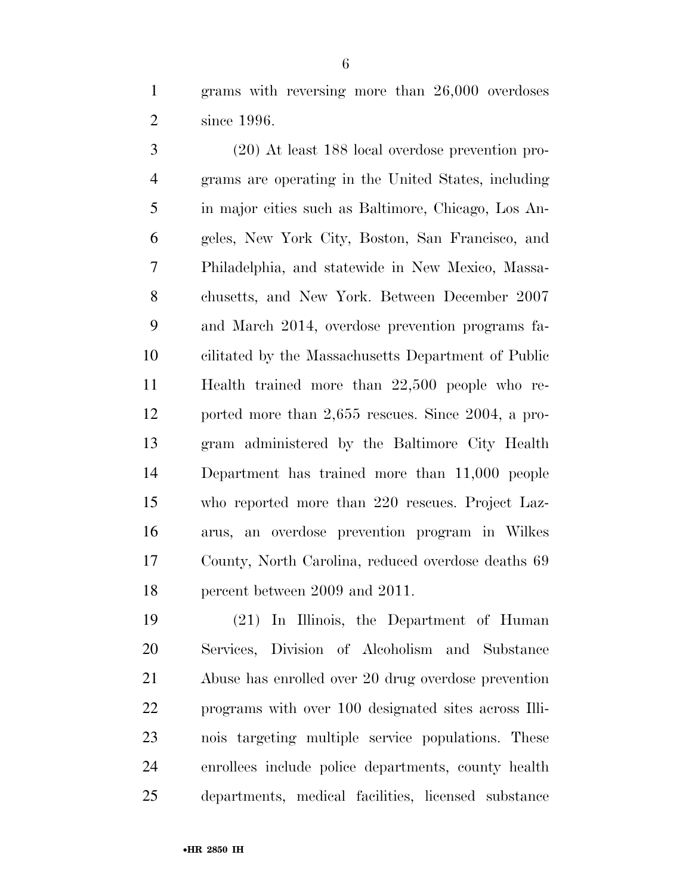grams with reversing more than 26,000 overdoses since 1996.

 (20) At least 188 local overdose prevention pro- grams are operating in the United States, including in major cities such as Baltimore, Chicago, Los An- geles, New York City, Boston, San Francisco, and Philadelphia, and statewide in New Mexico, Massa- chusetts, and New York. Between December 2007 and March 2014, overdose prevention programs fa- cilitated by the Massachusetts Department of Public Health trained more than 22,500 people who re- ported more than 2,655 rescues. Since 2004, a pro- gram administered by the Baltimore City Health Department has trained more than 11,000 people who reported more than 220 rescues. Project Laz- arus, an overdose prevention program in Wilkes County, North Carolina, reduced overdose deaths 69 percent between 2009 and 2011.

 (21) In Illinois, the Department of Human Services, Division of Alcoholism and Substance Abuse has enrolled over 20 drug overdose prevention programs with over 100 designated sites across Illi- nois targeting multiple service populations. These enrollees include police departments, county health departments, medical facilities, licensed substance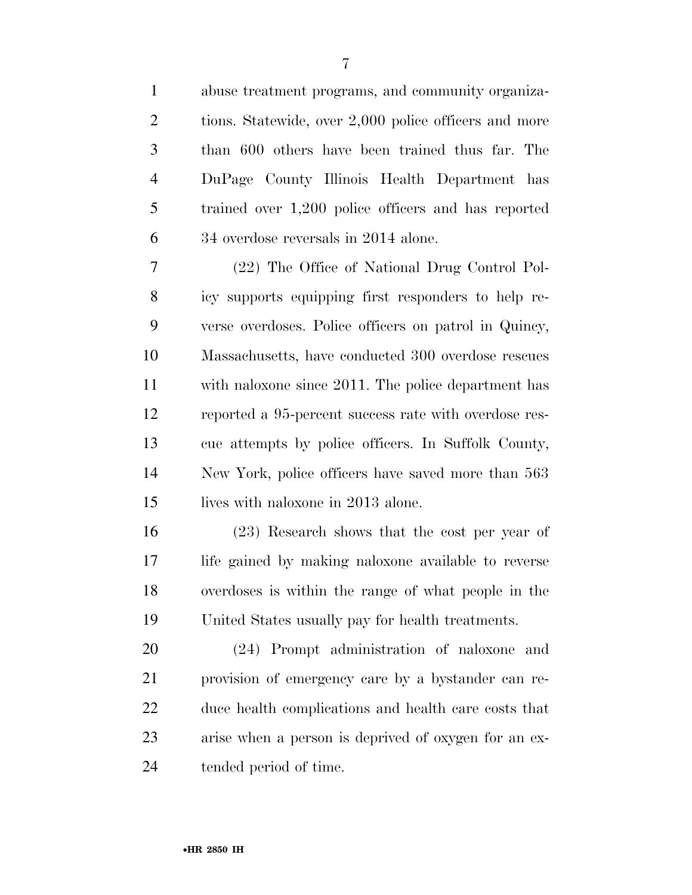abuse treatment programs, and community organiza-2 tions. Statewide, over 2,000 police officers and more than 600 others have been trained thus far. The DuPage County Illinois Health Department has trained over 1,200 police officers and has reported 34 overdose reversals in 2014 alone.

 (22) The Office of National Drug Control Pol- icy supports equipping first responders to help re- verse overdoses. Police officers on patrol in Quincy, Massachusetts, have conducted 300 overdose rescues with naloxone since 2011. The police department has reported a 95-percent success rate with overdose res- cue attempts by police officers. In Suffolk County, New York, police officers have saved more than 563 15 lives with naloxone in 2013 alone.

 (23) Research shows that the cost per year of life gained by making naloxone available to reverse overdoses is within the range of what people in the United States usually pay for health treatments.

 (24) Prompt administration of naloxone and provision of emergency care by a bystander can re- duce health complications and health care costs that arise when a person is deprived of oxygen for an ex-tended period of time.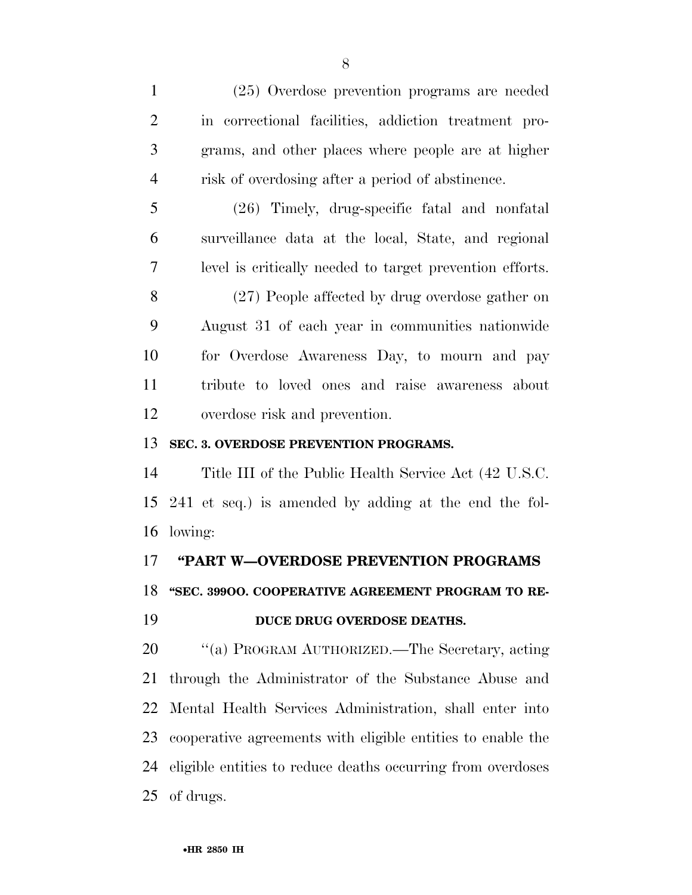(25) Overdose prevention programs are needed in correctional facilities, addiction treatment pro- grams, and other places where people are at higher risk of overdosing after a period of abstinence.

 (26) Timely, drug-specific fatal and nonfatal surveillance data at the local, State, and regional level is critically needed to target prevention efforts.

 (27) People affected by drug overdose gather on August 31 of each year in communities nationwide for Overdose Awareness Day, to mourn and pay tribute to loved ones and raise awareness about overdose risk and prevention.

#### **SEC. 3. OVERDOSE PREVENTION PROGRAMS.**

 Title III of the Public Health Service Act (42 U.S.C. 241 et seq.) is amended by adding at the end the fol-lowing:

#### **''PART W—OVERDOSE PREVENTION PROGRAMS**

**''SEC. 399OO. COOPERATIVE AGREEMENT PROGRAM TO RE-**

#### **DUCE DRUG OVERDOSE DEATHS.**

 ''(a) PROGRAM AUTHORIZED.—The Secretary, acting through the Administrator of the Substance Abuse and Mental Health Services Administration, shall enter into cooperative agreements with eligible entities to enable the eligible entities to reduce deaths occurring from overdoses of drugs.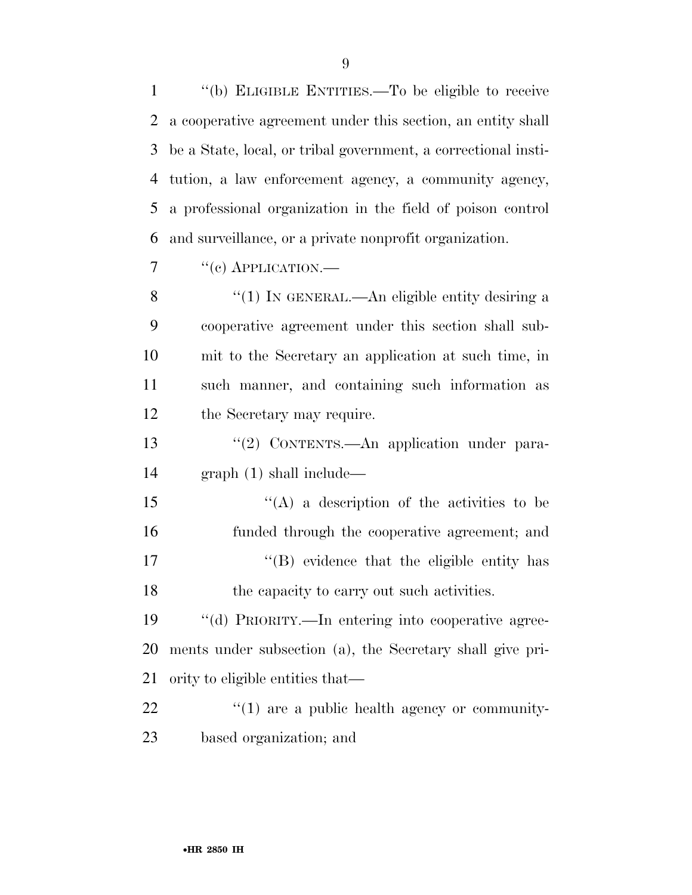''(b) ELIGIBLE ENTITIES.—To be eligible to receive a cooperative agreement under this section, an entity shall be a State, local, or tribal government, a correctional insti- tution, a law enforcement agency, a community agency, a professional organization in the field of poison control and surveillance, or a private nonprofit organization.

 $7 \t``(c)$  APPLICATION.—

8 "(1) IN GENERAL.—An eligible entity desiring a cooperative agreement under this section shall sub- mit to the Secretary an application at such time, in such manner, and containing such information as the Secretary may require.

13 "(2) CONTENTS.—An application under para-graph (1) shall include—

 $'$ (A) a description of the activities to be funded through the cooperative agreement; and 17  $\langle$  (B) evidence that the eligible entity has 18 the capacity to carry out such activities.

 ''(d) PRIORITY.—In entering into cooperative agree- ments under subsection (a), the Secretary shall give pri-ority to eligible entities that—

  $\cdots$   $(1)$  are a public health agency or community-based organization; and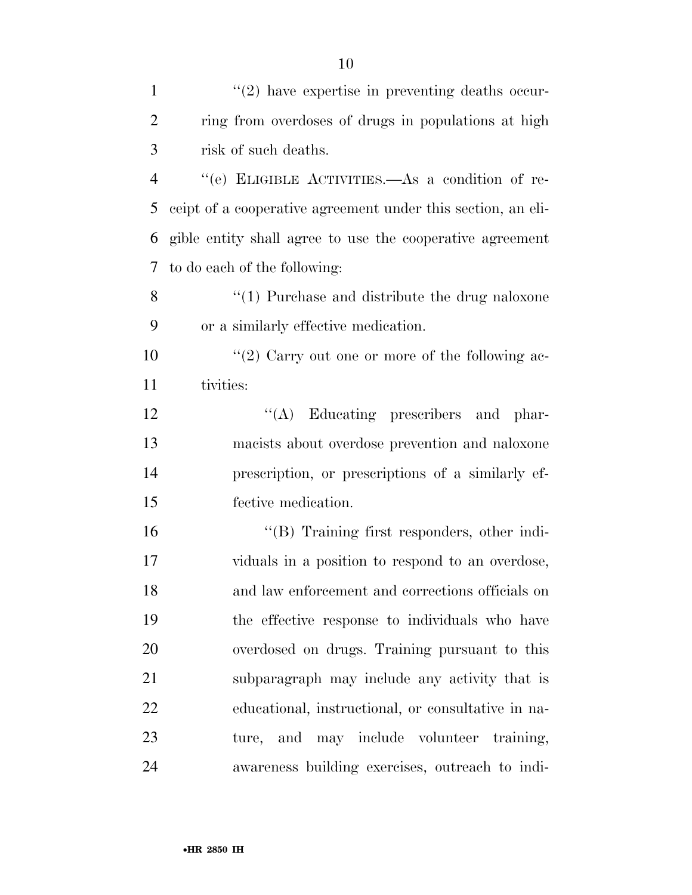| $\mathbf{1}$   | $\lq(2)$ have expertise in preventing deaths occur-          |
|----------------|--------------------------------------------------------------|
| 2              | ring from overdoses of drugs in populations at high          |
| 3              | risk of such deaths.                                         |
| $\overline{4}$ | "(e) ELIGIBLE ACTIVITIES.—As a condition of re-              |
| 5              | ceipt of a cooperative agreement under this section, an eli- |
| 6              | gible entity shall agree to use the cooperative agreement    |
| 7              | to do each of the following:                                 |
| 8              | $\lq(1)$ Purchase and distribute the drug naloxone           |
| 9              | or a similarly effective medication.                         |
| 10             | "(2) Carry out one or more of the following ac-              |
| 11             | tivities:                                                    |
| 12             | "(A) Educating prescribers and phar-                         |
| 13             | macists about overdose prevention and naloxone               |
| 14             | prescription, or prescriptions of a similarly ef-            |
| 15             | fective medication.                                          |
| 16             | "(B) Training first responders, other indi-                  |
| 17             | viduals in a position to respond to an overdose,             |
| 18             | and law enforcement and corrections officials on             |
| 19             | the effective response to individuals who have               |
| 20             | overdosed on drugs. Training pursuant to this                |
| 21             | subparagraph may include any activity that is                |
| 22             | educational, instructional, or consultative in na-           |
| 23             | ture, and may include volunteer training,                    |
| 24             | awareness building exercises, outreach to indi-              |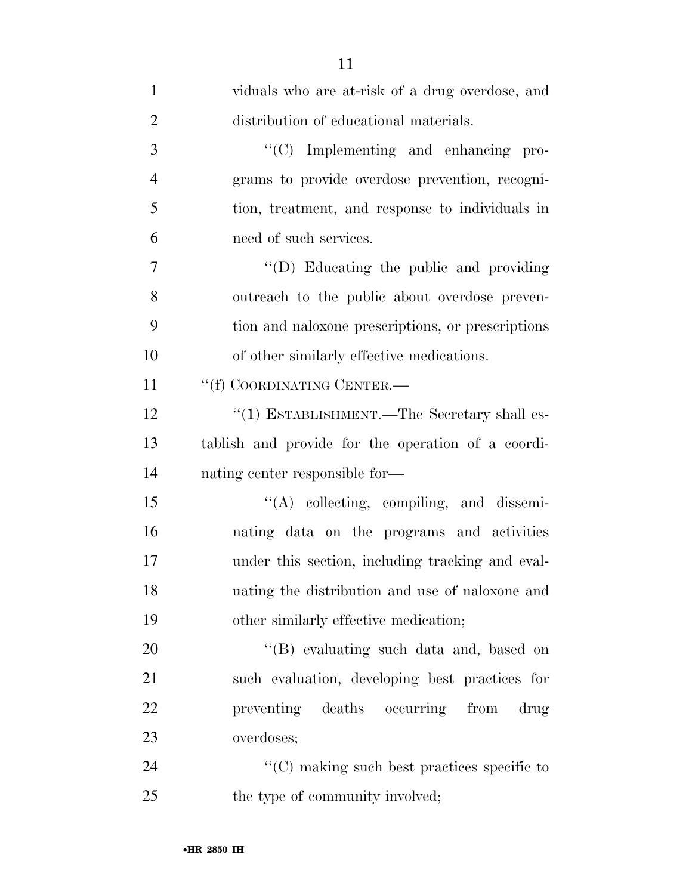| $\mathbf{1}$   | viduals who are at-risk of a drug overdose, and    |
|----------------|----------------------------------------------------|
| $\overline{2}$ | distribution of educational materials.             |
| 3              | "(C) Implementing and enhancing pro-               |
| $\overline{4}$ | grams to provide overdose prevention, recogni-     |
| 5              | tion, treatment, and response to individuals in    |
| 6              | need of such services.                             |
| $\overline{7}$ | $\lq\lq$ . Educating the public and providing      |
| 8              | outreach to the public about overdose preven-      |
| 9              | tion and naloxone prescriptions, or prescriptions  |
| 10             | of other similarly effective medications.          |
| 11             | "(f) COORDINATING CENTER.-                         |
| 12             | "(1) ESTABLISHMENT.—The Secretary shall es-        |
| 13             | tablish and provide for the operation of a coordi- |
| 14             | nating center responsible for—                     |
| 15             | "(A) collecting, compiling, and dissemi-           |
| 16             | nating data on the programs and activities         |
| 17             | under this section, including tracking and eval-   |
| 18             | uating the distribution and use of naloxone and    |
| 19             | other similarly effective medication;              |
| 20             | "(B) evaluating such data and, based on            |
| 21             | such evaluation, developing best practices for     |
| 22             | preventing deaths occurring from<br>drug           |
| 23             | overdoses;                                         |
| 24             | $\cdot$ (C) making such best practices specific to |
| 25             | the type of community involved;                    |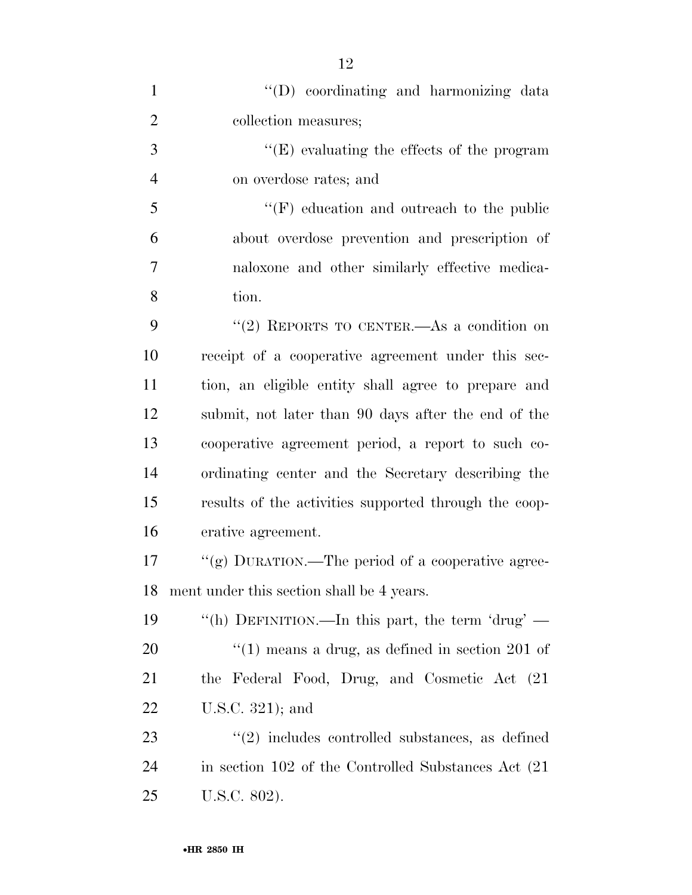| $\mathbf{1}$   | "(D) coordinating and harmonizing data                          |
|----------------|-----------------------------------------------------------------|
| $\overline{2}$ | collection measures;                                            |
| 3              | $\lq\lq(E)$ evaluating the effects of the program               |
| $\overline{4}$ | on overdose rates; and                                          |
| 5              | $\lq\lq(F)$ education and outreach to the public                |
| 6              | about overdose prevention and prescription of                   |
| 7              | naloxone and other similarly effective medica-                  |
| 8              | tion.                                                           |
| 9              | "(2) REPORTS TO CENTER.—As a condition on                       |
| 10             | receipt of a cooperative agreement under this sec-              |
| 11             | tion, an eligible entity shall agree to prepare and             |
| 12             | submit, not later than 90 days after the end of the             |
| 13             | cooperative agreement period, a report to such co-              |
| 14             | ordinating center and the Secretary describing the              |
| 15             | results of the activities supported through the coop-           |
| 16             | erative agreement.                                              |
| 17             | "(g) DURATION.—The period of a cooperative agree-               |
| 18             | ment under this section shall be 4 years.                       |
| 19             | "(h) DEFINITION.—In this part, the term 'drug' —                |
| 20             | $\cdot\cdot(1)$ means a drug, as defined in section 201 of      |
| 21             | the Federal Food, Drug, and Cosmetic Act (21)                   |
| <u>22</u>      | U.S.C. $321$ ); and                                             |
| 23             | $\cdot\cdot\cdot(2)$ includes controlled substances, as defined |
| 24             | in section 102 of the Controlled Substances Act (21)            |
| 25             | U.S.C. 802).                                                    |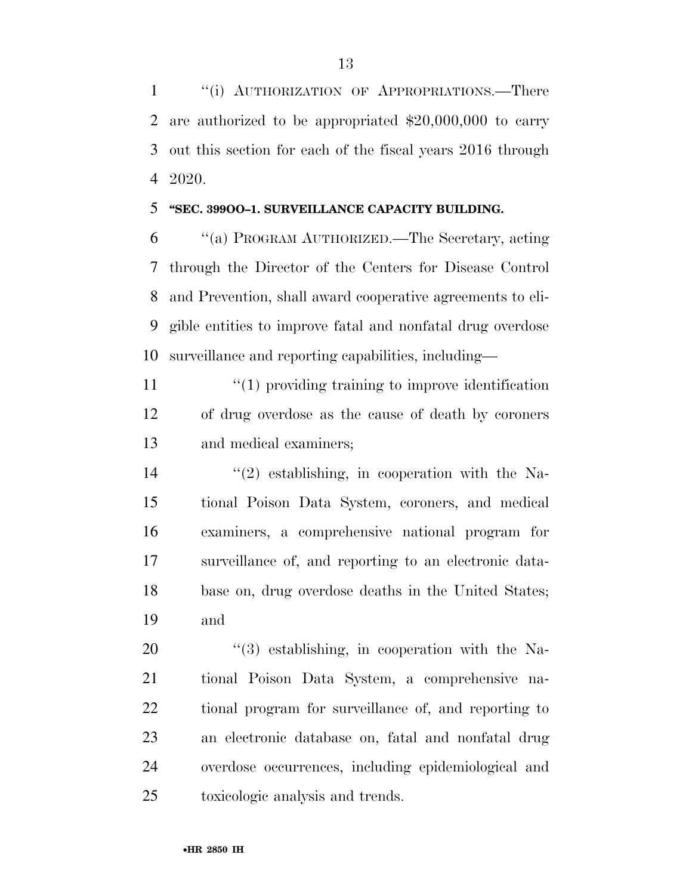1 "(i) AUTHORIZATION OF APPROPRIATIONS.—There are authorized to be appropriated \$20,000,000 to carry out this section for each of the fiscal years 2016 through 2020.

#### **''SEC. 399OO–1. SURVEILLANCE CAPACITY BUILDING.**

 ''(a) PROGRAM AUTHORIZED.—The Secretary, acting through the Director of the Centers for Disease Control and Prevention, shall award cooperative agreements to eli- gible entities to improve fatal and nonfatal drug overdose surveillance and reporting capabilities, including—

11  $\frac{1}{1}$  (1) providing training to improve identification of drug overdose as the cause of death by coroners and medical examiners;

 $(2)$  establishing, in cooperation with the Na- tional Poison Data System, coroners, and medical examiners, a comprehensive national program for surveillance of, and reporting to an electronic data- base on, drug overdose deaths in the United States; and

 $(3)$  establishing, in cooperation with the Na- tional Poison Data System, a comprehensive na- tional program for surveillance of, and reporting to an electronic database on, fatal and nonfatal drug overdose occurrences, including epidemiological and toxicologic analysis and trends.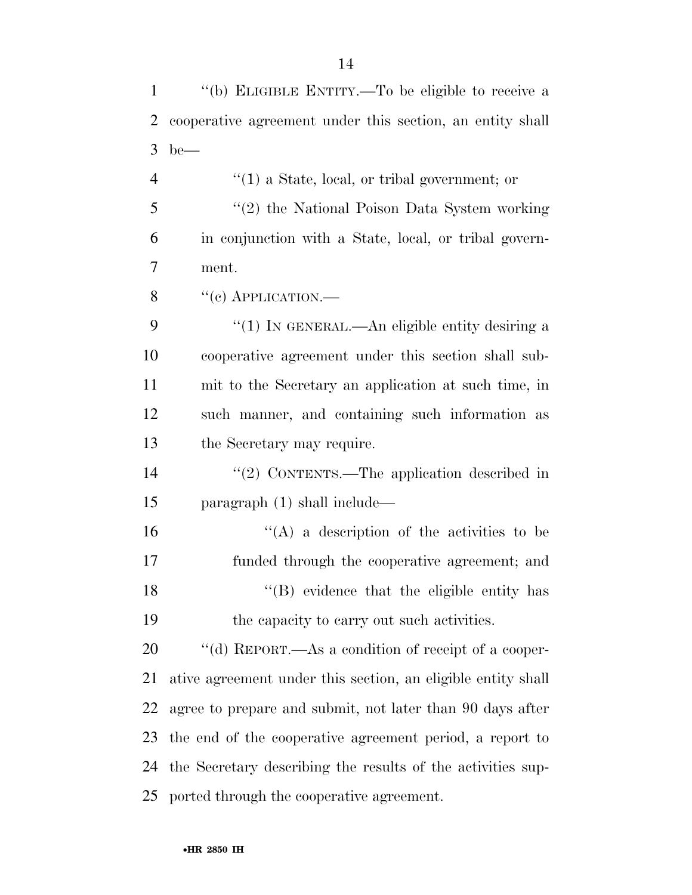''(b) ELIGIBLE ENTITY.—To be eligible to receive a cooperative agreement under this section, an entity shall be— ''(1) a State, local, or tribal government; or ''(2) the National Poison Data System working in conjunction with a State, local, or tribal govern- ment.  $\frac{8}{(c)$  APPLICATION.— 9 "(1) In GENERAL.—An eligible entity desiring a cooperative agreement under this section shall sub- mit to the Secretary an application at such time, in such manner, and containing such information as the Secretary may require.  $\frac{1}{2}$  CONTENTS. The application described in paragraph (1) shall include—  $'$ (A) a description of the activities to be funded through the cooperative agreement; and 18 ''(B) evidence that the eligible entity has the capacity to carry out such activities.  $\cdot$  "(d) REPORT.—As a condition of receipt of a cooper- ative agreement under this section, an eligible entity shall agree to prepare and submit, not later than 90 days after the end of the cooperative agreement period, a report to the Secretary describing the results of the activities sup-ported through the cooperative agreement.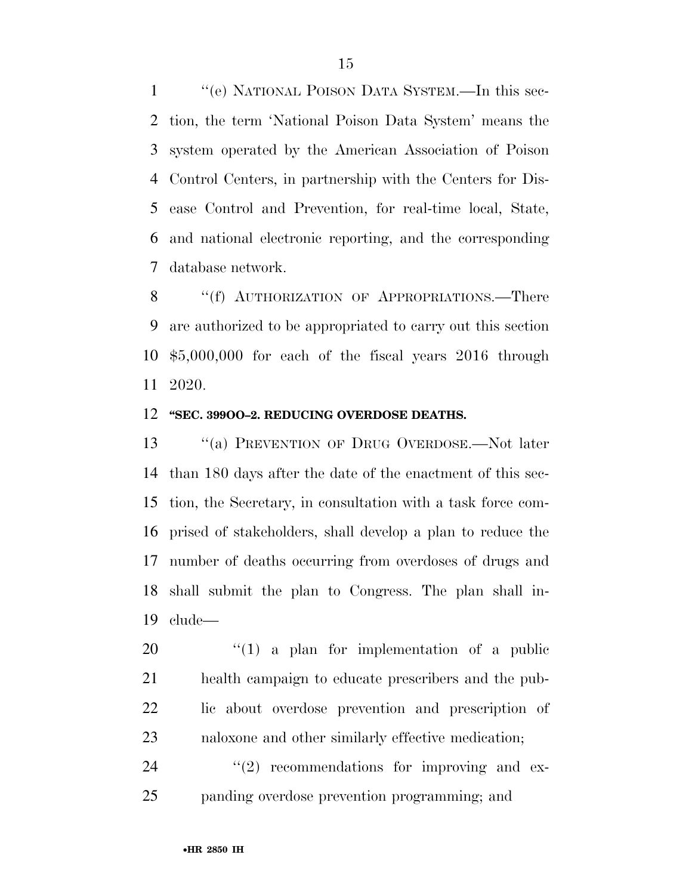''(e) NATIONAL POISON DATA SYSTEM.—In this sec- tion, the term 'National Poison Data System' means the system operated by the American Association of Poison Control Centers, in partnership with the Centers for Dis- ease Control and Prevention, for real-time local, State, and national electronic reporting, and the corresponding database network.

8 "(f) AUTHORIZATION OF APPROPRIATIONS.—There are authorized to be appropriated to carry out this section \$5,000,000 for each of the fiscal years 2016 through 2020.

#### **''SEC. 399OO–2. REDUCING OVERDOSE DEATHS.**

 ''(a) PREVENTION OF DRUG OVERDOSE.—Not later than 180 days after the date of the enactment of this sec- tion, the Secretary, in consultation with a task force com- prised of stakeholders, shall develop a plan to reduce the number of deaths occurring from overdoses of drugs and shall submit the plan to Congress. The plan shall in-clude—

 ''(1) a plan for implementation of a public health campaign to educate prescribers and the pub- lic about overdose prevention and prescription of naloxone and other similarly effective medication;

  $(2)$  recommendations for improving and ex-panding overdose prevention programming; and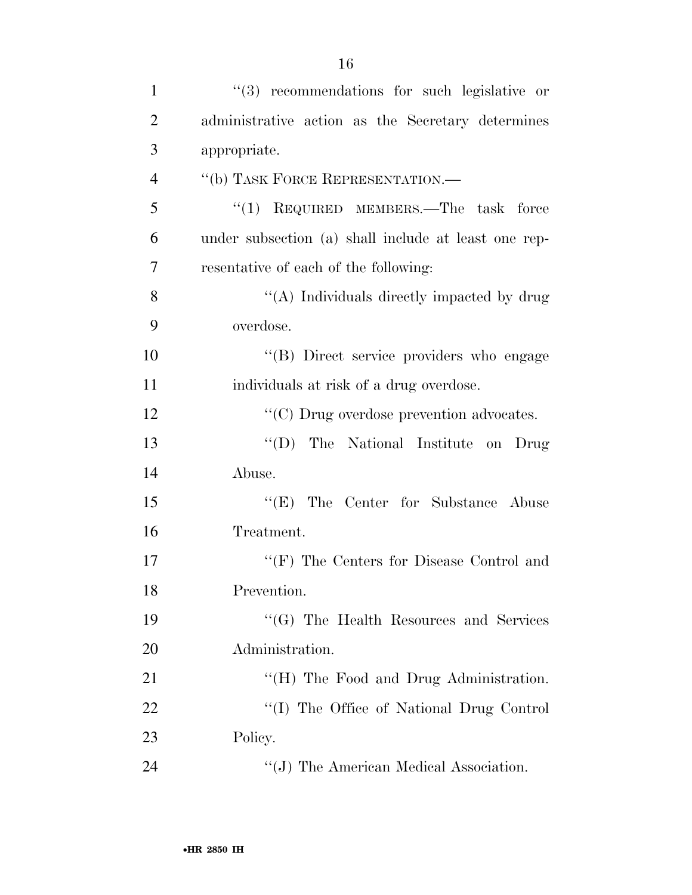| $\mathbf{1}$   | "(3) recommendations for such legislative or         |
|----------------|------------------------------------------------------|
| $\overline{2}$ | administrative action as the Secretary determines    |
| 3              | appropriate.                                         |
| $\overline{4}$ | "(b) TASK FORCE REPRESENTATION.-                     |
| 5              | "(1) REQUIRED MEMBERS.—The task force                |
| 6              | under subsection (a) shall include at least one rep- |
| 7              | resentative of each of the following:                |
| 8              | "(A) Individuals directly impacted by drug           |
| 9              | overdose.                                            |
| 10             | "(B) Direct service providers who engage             |
| 11             | individuals at risk of a drug overdose.              |
| 12             | $\cdot\cdot$ (C) Drug overdose prevention advocates. |
| 13             | $\lq\lq (D)$<br>The National Institute on Drug       |
| 14             | Abuse.                                               |
| 15             | "(E) The Center for Substance Abuse                  |
| 16             | Treatment.                                           |
| 17             | " $(F)$ The Centers for Disease Control and          |
| 18             | Prevention.                                          |
| 19             | "(G) The Health Resources and Services               |
| 20             | Administration.                                      |
| 21             | $H(H)$ The Food and Drug Administration.             |
| 22             | "(I) The Office of National Drug Control             |
| 23             | Policy.                                              |
| 24             | $\lq\lq(J)$ The American Medical Association.        |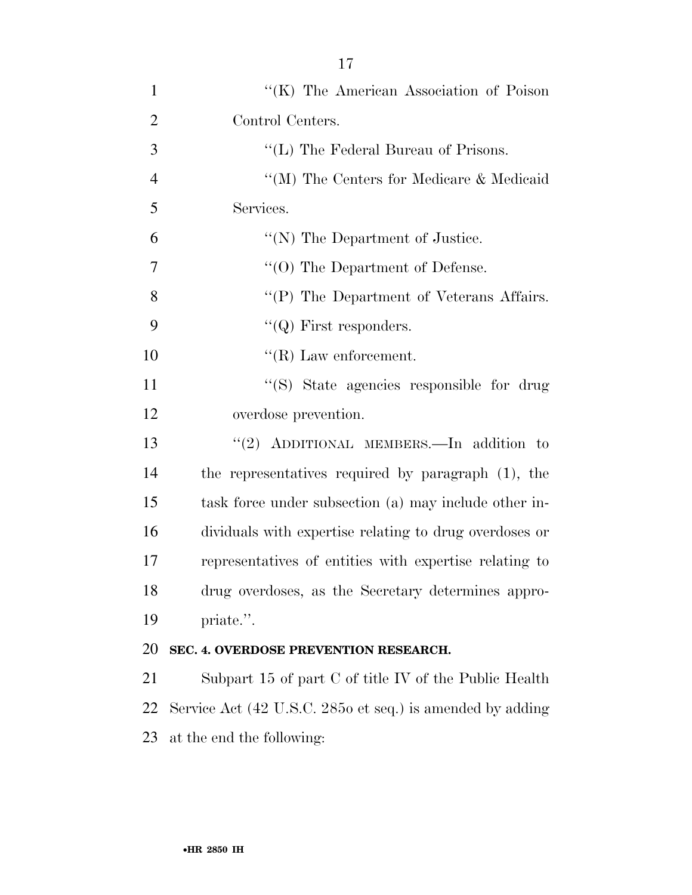| $\mathbf{1}$   | "(K) The American Association of Poison                   |
|----------------|-----------------------------------------------------------|
| $\overline{2}$ | Control Centers.                                          |
| 3              | "(L) The Federal Bureau of Prisons.                       |
| $\overline{4}$ | "(M) The Centers for Medicare & Medicaid                  |
| 5              | Services.                                                 |
| 6              | $\lq\lq(N)$ The Department of Justice.                    |
| 7              | $\cdot$ (O) The Department of Defense.                    |
| 8              | "(P) The Department of Veterans Affairs.                  |
| 9              | $\lq\lq (Q)$ First responders.                            |
| 10             | $\lq\lq$ (R) Law enforcement.                             |
| 11             | "(S) State agencies responsible for drug                  |
| 12             | overdose prevention.                                      |
| 13             | "(2) ADDITIONAL MEMBERS.—In addition to                   |
| 14             | the representatives required by paragraph (1), the        |
| 15             | task force under subsection (a) may include other in-     |
| 16             | dividuals with expertise relating to drug overdoses or    |
| 17             | representatives of entities with expertise relating to    |
| 18             | drug overdoses, as the Secretary determines appro-        |
| 19             | priate.".                                                 |
| 20             | SEC. 4. OVERDOSE PREVENTION RESEARCH.                     |
| 21             | Subpart 15 of part $C$ of title IV of the Public Health   |
| 22             | Service Act (42 U.S.C. 2850 et seq.) is amended by adding |
| 23             | at the end the following:                                 |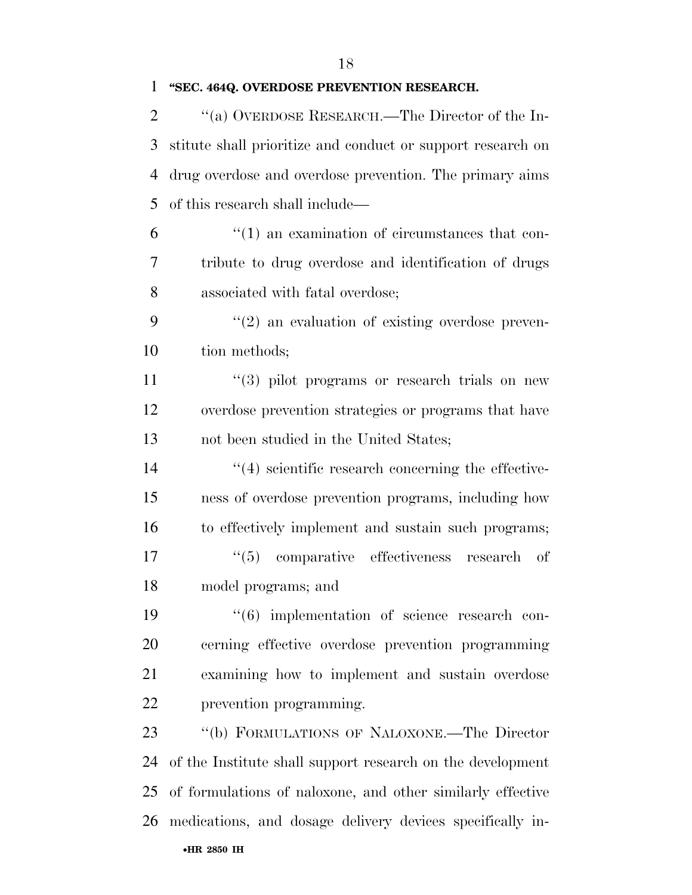## **''SEC. 464Q. OVERDOSE PREVENTION RESEARCH.**

| $\overline{2}$ | "(a) OVERDOSE RESEARCH.—The Director of the In-             |
|----------------|-------------------------------------------------------------|
| 3              | stitute shall prioritize and conduct or support research on |
| $\overline{4}$ | drug overdose and overdose prevention. The primary aims     |
| 5              | of this research shall include—                             |
| 6              | $\lq(1)$ an examination of circumstances that con-          |
| 7              | tribute to drug overdose and identification of drugs        |
| 8              | associated with fatal overdose;                             |
| 9              | $\lq(2)$ an evaluation of existing overdose preven-         |
| 10             | tion methods;                                               |
| 11             | $(3)$ pilot programs or research trials on new              |
| 12             | overdose prevention strategies or programs that have        |
| 13             | not been studied in the United States;                      |
| 14             | $\cdot$ (4) scientific research concerning the effective-   |
| 15             | ness of overdose prevention programs, including how         |
| 16             | to effectively implement and sustain such programs;         |
| 17             | (6(5)<br>comparative effectiveness<br>research<br>— of      |
| 18             | model programs; and                                         |
| 19             | $(6)$ implementation of science research con-               |
| 20             | cerning effective overdose prevention programming           |
| 21             | examining how to implement and sustain overdose             |
| 22             | prevention programming.                                     |
| 23             | "(b) FORMULATIONS OF NALOXONE.—The Director                 |
| 24             | of the Institute shall support research on the development  |
| 25             | of formulations of naloxone, and other similarly effective  |
| 26             | medications, and dosage delivery devices specifically in-   |
|                | •HR 2850 IH                                                 |